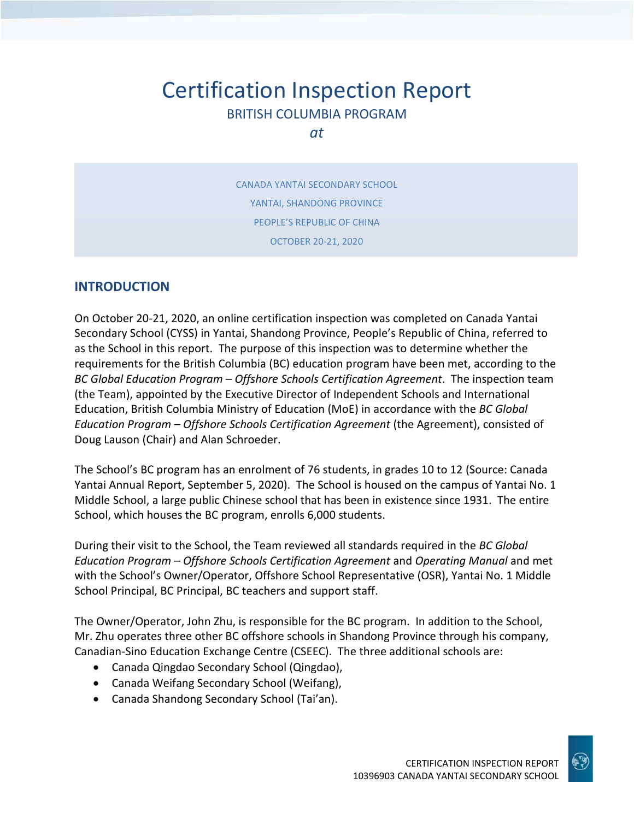# Certification Inspection Report BRITISH COLUMBIA PROGRAM

*at*

CANADA YANTAI SECONDARY SCHOOL YANTAI, SHANDONG PROVINCE PEOPLE'S REPUBLIC OF CHINA OCTOBER 20-21, 2020

## **INTRODUCTION**

On October 20-21, 2020, an online certification inspection was completed on Canada Yantai Secondary School (CYSS) in Yantai, Shandong Province, People's Republic of China, referred to as the School in this report. The purpose of this inspection was to determine whether the requirements for the British Columbia (BC) education program have been met, according to the *BC Global Education Program – Offshore Schools Certification Agreement*. The inspection team (the Team), appointed by the Executive Director of Independent Schools and International Education, British Columbia Ministry of Education (MoE) in accordance with the *BC Global Education Program – Offshore Schools Certification Agreement* (the Agreement), consisted of Doug Lauson (Chair) and Alan Schroeder.

The School's BC program has an enrolment of 76 students, in grades 10 to 12 (Source: Canada Yantai Annual Report, September 5, 2020). The School is housed on the campus of Yantai No. 1 Middle School, a large public Chinese school that has been in existence since 1931. The entire School, which houses the BC program, enrolls 6,000 students.

During their visit to the School, the Team reviewed all standards required in the *BC Global Education Program – Offshore Schools Certification Agreement* and *Operating Manual* and met with the School's Owner/Operator, Offshore School Representative (OSR), Yantai No. 1 Middle School Principal, BC Principal, BC teachers and support staff.

The Owner/Operator, John Zhu, is responsible for the BC program. In addition to the School, Mr. Zhu operates three other BC offshore schools in Shandong Province through his company, Canadian-Sino Education Exchange Centre (CSEEC). The three additional schools are:

- Canada Qingdao Secondary School (Qingdao),
- Canada Weifang Secondary School (Weifang),
- Canada Shandong Secondary School (Tai'an).

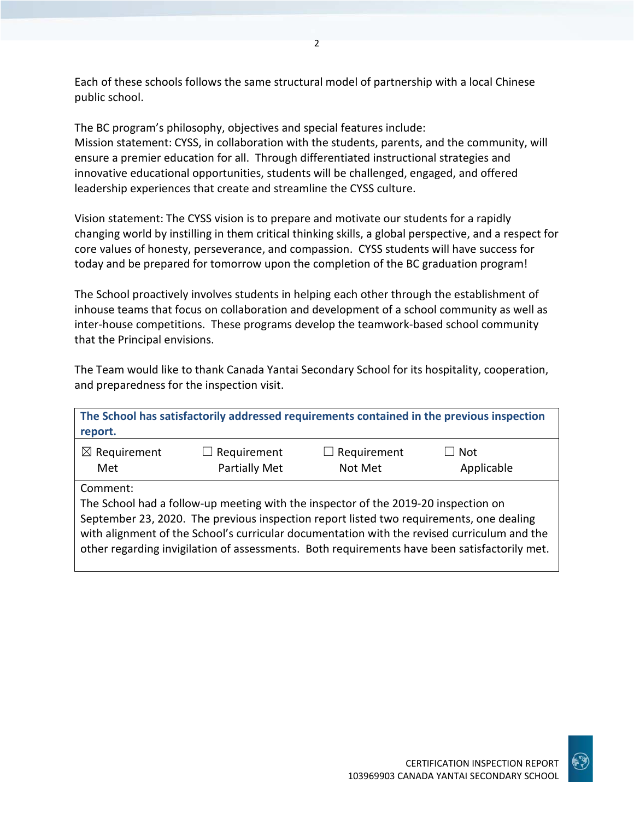Each of these schools follows the same structural model of partnership with a local Chinese public school.

The BC program's philosophy, objectives and special features include: Mission statement: CYSS, in collaboration with the students, parents, and the community, will ensure a premier education for all. Through differentiated instructional strategies and innovative educational opportunities, students will be challenged, engaged, and offered leadership experiences that create and streamline the CYSS culture.

Vision statement: The CYSS vision is to prepare and motivate our students for a rapidly changing world by instilling in them critical thinking skills, a global perspective, and a respect for core values of honesty, perseverance, and compassion. CYSS students will have success for today and be prepared for tomorrow upon the completion of the BC graduation program!

The School proactively involves students in helping each other through the establishment of inhouse teams that focus on collaboration and development of a school community as well as inter-house competitions. These programs develop the teamwork-based school community that the Principal envisions.

The Team would like to thank Canada Yantai Secondary School for its hospitality, cooperation, and preparedness for the inspection visit.

| report.                        |                                                                                                                                                                                                                                                                                                                                                                              |                                  | The School has satisfactorily addressed requirements contained in the previous inspection |
|--------------------------------|------------------------------------------------------------------------------------------------------------------------------------------------------------------------------------------------------------------------------------------------------------------------------------------------------------------------------------------------------------------------------|----------------------------------|-------------------------------------------------------------------------------------------|
| $\boxtimes$ Requirement<br>Met | $\Box$ Requirement<br><b>Partially Met</b>                                                                                                                                                                                                                                                                                                                                   | Requirement<br>$\Box$<br>Not Met | <b>Not</b><br>Applicable                                                                  |
| Comment:                       | The School had a follow-up meeting with the inspector of the 2019-20 inspection on<br>September 23, 2020. The previous inspection report listed two requirements, one dealing<br>with alignment of the School's curricular documentation with the revised curriculum and the<br>other regarding invigilation of assessments. Both requirements have been satisfactorily met. |                                  |                                                                                           |

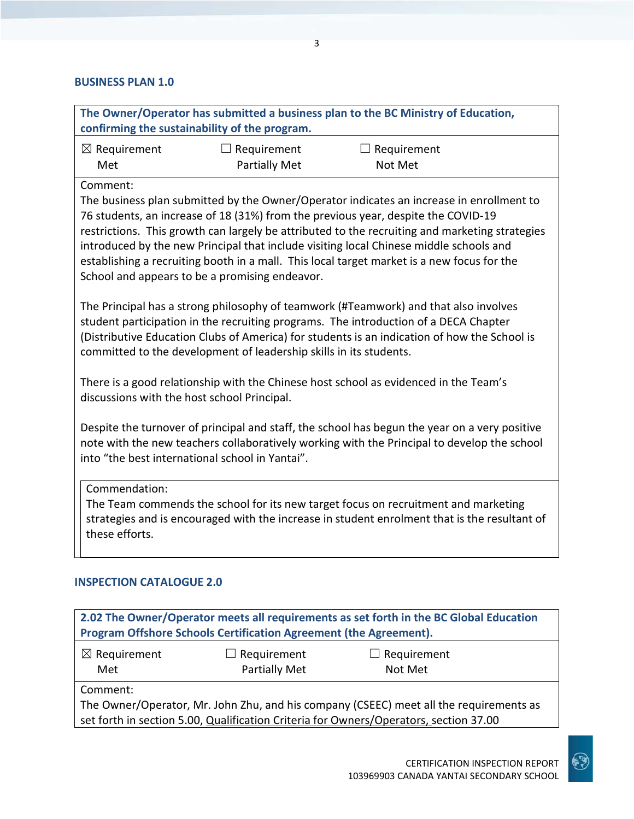## **BUSINESS PLAN 1.0**

| The Owner/Operator has submitted a business plan to the BC Ministry of Education,<br>confirming the sustainability of the program.                                                                                                                                                                                                                                                                                                                                                                                                    |                      |                                                                                                                                                                                    |  |
|---------------------------------------------------------------------------------------------------------------------------------------------------------------------------------------------------------------------------------------------------------------------------------------------------------------------------------------------------------------------------------------------------------------------------------------------------------------------------------------------------------------------------------------|----------------------|------------------------------------------------------------------------------------------------------------------------------------------------------------------------------------|--|
| $\boxtimes$ Requirement                                                                                                                                                                                                                                                                                                                                                                                                                                                                                                               | $\Box$ Requirement   | $\Box$ Requirement                                                                                                                                                                 |  |
| Met                                                                                                                                                                                                                                                                                                                                                                                                                                                                                                                                   | <b>Partially Met</b> | Not Met                                                                                                                                                                            |  |
| Comment:<br>The business plan submitted by the Owner/Operator indicates an increase in enrollment to<br>76 students, an increase of 18 (31%) from the previous year, despite the COVID-19<br>restrictions. This growth can largely be attributed to the recruiting and marketing strategies<br>introduced by the new Principal that include visiting local Chinese middle schools and<br>establishing a recruiting booth in a mall. This local target market is a new focus for the<br>School and appears to be a promising endeavor. |                      |                                                                                                                                                                                    |  |
| The Principal has a strong philosophy of teamwork (#Teamwork) and that also involves<br>student participation in the recruiting programs. The introduction of a DECA Chapter<br>(Distributive Education Clubs of America) for students is an indication of how the School is<br>committed to the development of leadership skills in its students.                                                                                                                                                                                    |                      |                                                                                                                                                                                    |  |
| There is a good relationship with the Chinese host school as evidenced in the Team's<br>discussions with the host school Principal.                                                                                                                                                                                                                                                                                                                                                                                                   |                      |                                                                                                                                                                                    |  |
| Despite the turnover of principal and staff, the school has begun the year on a very positive<br>note with the new teachers collaboratively working with the Principal to develop the school<br>into "the best international school in Yantai".                                                                                                                                                                                                                                                                                       |                      |                                                                                                                                                                                    |  |
| Commendation:<br>these efforts.                                                                                                                                                                                                                                                                                                                                                                                                                                                                                                       |                      | The Team commends the school for its new target focus on recruitment and marketing<br>strategies and is encouraged with the increase in student enrolment that is the resultant of |  |
| <b>INSPECTION CATALOGUE 2.0</b>                                                                                                                                                                                                                                                                                                                                                                                                                                                                                                       |                      |                                                                                                                                                                                    |  |

| Program Offshore Schools Certification Agreement (the Agreement).<br>$\boxtimes$ Requirement<br>$\Box$ Requirement<br>$\Box$ Requirement |  |  |  |
|------------------------------------------------------------------------------------------------------------------------------------------|--|--|--|
|                                                                                                                                          |  |  |  |
|                                                                                                                                          |  |  |  |
| Partially Met<br>Not Met<br>Met                                                                                                          |  |  |  |
| Comment:                                                                                                                                 |  |  |  |
| The Owner/Operator, Mr. John Zhu, and his company (CSEEC) meet all the requirements as                                                   |  |  |  |
| set forth in section 5.00, Qualification Criteria for Owners/Operators, section 37.00                                                    |  |  |  |

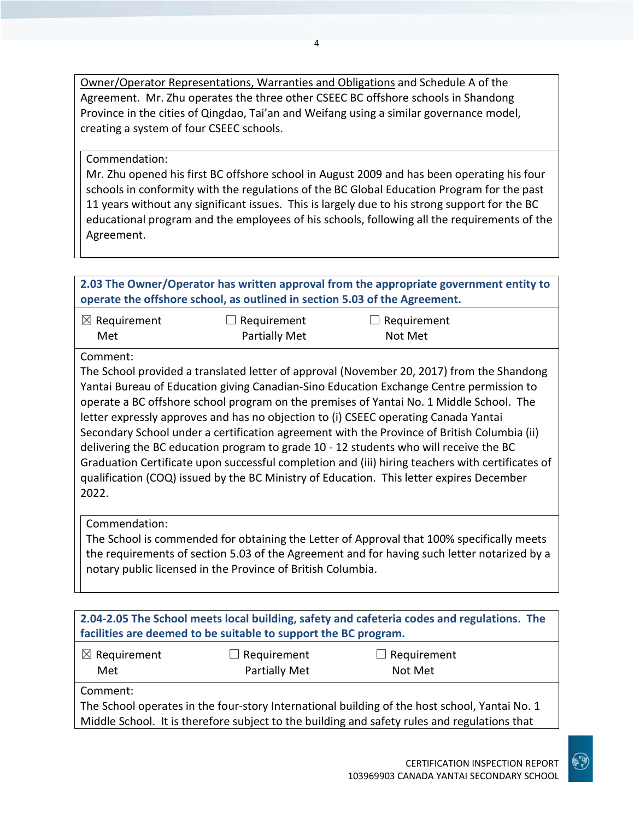Owner/Operator Representations, Warranties and Obligations and Schedule A of the Agreement. Mr. Zhu operates the three other CSEEC BC offshore schools in Shandong Province in the cities of Qingdao, Tai'an and Weifang using a similar governance model, creating a system of four CSEEC schools.

#### Commendation:

Mr. Zhu opened his first BC offshore school in August 2009 and has been operating his four schools in conformity with the regulations of the BC Global Education Program for the past 11 years without any significant issues. This is largely due to his strong support for the BC educational program and the employees of his schools, following all the requirements of the Agreement.

| 2.03 The Owner/Operator has written approval from the appropriate government entity to<br>operate the offshore school, as outlined in section 5.03 of the Agreement.                                                                                                                                                                                                                                                                                                                                                                                                                                                                                                                                                                                                                |                                            |                                                                                                                                                                                               |  |
|-------------------------------------------------------------------------------------------------------------------------------------------------------------------------------------------------------------------------------------------------------------------------------------------------------------------------------------------------------------------------------------------------------------------------------------------------------------------------------------------------------------------------------------------------------------------------------------------------------------------------------------------------------------------------------------------------------------------------------------------------------------------------------------|--------------------------------------------|-----------------------------------------------------------------------------------------------------------------------------------------------------------------------------------------------|--|
| $\boxtimes$ Requirement<br>Met                                                                                                                                                                                                                                                                                                                                                                                                                                                                                                                                                                                                                                                                                                                                                      | $\Box$ Requirement<br><b>Partially Met</b> | $\Box$ Requirement<br>Not Met                                                                                                                                                                 |  |
| Comment:<br>The School provided a translated letter of approval (November 20, 2017) from the Shandong<br>Yantai Bureau of Education giving Canadian-Sino Education Exchange Centre permission to<br>operate a BC offshore school program on the premises of Yantai No. 1 Middle School. The<br>letter expressly approves and has no objection to (i) CSEEC operating Canada Yantai<br>Secondary School under a certification agreement with the Province of British Columbia (ii)<br>delivering the BC education program to grade 10 - 12 students who will receive the BC<br>Graduation Certificate upon successful completion and (iii) hiring teachers with certificates of<br>qualification (COQ) issued by the BC Ministry of Education. This letter expires December<br>2022. |                                            |                                                                                                                                                                                               |  |
| Commendation:<br>notary public licensed in the Province of British Columbia.                                                                                                                                                                                                                                                                                                                                                                                                                                                                                                                                                                                                                                                                                                        |                                            | The School is commended for obtaining the Letter of Approval that 100% specifically meets<br>the requirements of section 5.03 of the Agreement and for having such letter notarized by a      |  |
|                                                                                                                                                                                                                                                                                                                                                                                                                                                                                                                                                                                                                                                                                                                                                                                     |                                            |                                                                                                                                                                                               |  |
| facilities are deemed to be suitable to support the BC program.                                                                                                                                                                                                                                                                                                                                                                                                                                                                                                                                                                                                                                                                                                                     |                                            | 2.04-2.05 The School meets local building, safety and cafeteria codes and regulations. The                                                                                                    |  |
| $\boxtimes$ Requirement<br>Met                                                                                                                                                                                                                                                                                                                                                                                                                                                                                                                                                                                                                                                                                                                                                      | $\Box$ Requirement<br><b>Partially Met</b> | $\Box$ Requirement<br>Not Met                                                                                                                                                                 |  |
| Comment:                                                                                                                                                                                                                                                                                                                                                                                                                                                                                                                                                                                                                                                                                                                                                                            |                                            | The School operates in the four-story International building of the host school, Yantai No. 1<br>Middle School. It is therefore subject to the building and safety rules and regulations that |  |
|                                                                                                                                                                                                                                                                                                                                                                                                                                                                                                                                                                                                                                                                                                                                                                                     |                                            |                                                                                                                                                                                               |  |

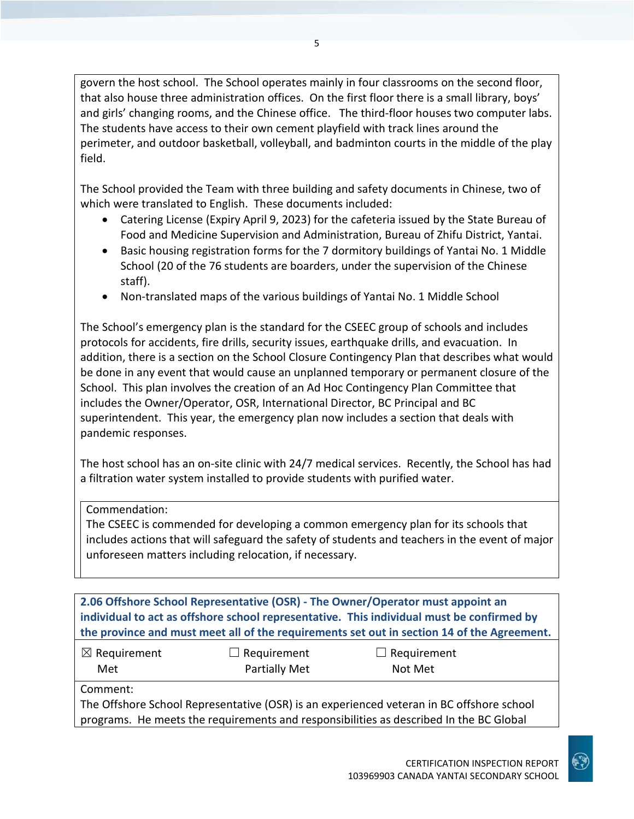govern the host school. The School operates mainly in four classrooms on the second floor, that also house three administration offices. On the first floor there is a small library, boys' and girls' changing rooms, and the Chinese office. The third-floor houses two computer labs. The students have access to their own cement playfield with track lines around the perimeter, and outdoor basketball, volleyball, and badminton courts in the middle of the play field.

The School provided the Team with three building and safety documents in Chinese, two of which were translated to English. These documents included:

- Catering License (Expiry April 9, 2023) for the cafeteria issued by the State Bureau of Food and Medicine Supervision and Administration, Bureau of Zhifu District, Yantai.
- Basic housing registration forms for the 7 dormitory buildings of Yantai No. 1 Middle School (20 of the 76 students are boarders, under the supervision of the Chinese staff).
- Non-translated maps of the various buildings of Yantai No. 1 Middle School

The School's emergency plan is the standard for the CSEEC group of schools and includes protocols for accidents, fire drills, security issues, earthquake drills, and evacuation. In addition, there is a section on the School Closure Contingency Plan that describes what would be done in any event that would cause an unplanned temporary or permanent closure of the School. This plan involves the creation of an Ad Hoc Contingency Plan Committee that includes the Owner/Operator, OSR, International Director, BC Principal and BC superintendent. This year, the emergency plan now includes a section that deals with pandemic responses.

The host school has an on-site clinic with 24/7 medical services. Recently, the School has had a filtration water system installed to provide students with purified water.

#### Commendation:

The CSEEC is commended for developing a common emergency plan for its schools that includes actions that will safeguard the safety of students and teachers in the event of major unforeseen matters including relocation, if necessary.

**2.06 Offshore School Representative (OSR) - The Owner/Operator must appoint an individual to act as offshore school representative. This individual must be confirmed by the province and must meet all of the requirements set out in section 14 of the Agreement.**

| $\boxtimes$ Requirement |
|-------------------------|
| Met                     |

☐ Requirement Partially Met

 $\Box$  Requirement Not Met

Comment:

The Offshore School Representative (OSR) is an experienced veteran in BC offshore school programs. He meets the requirements and responsibilities as described In the BC Global

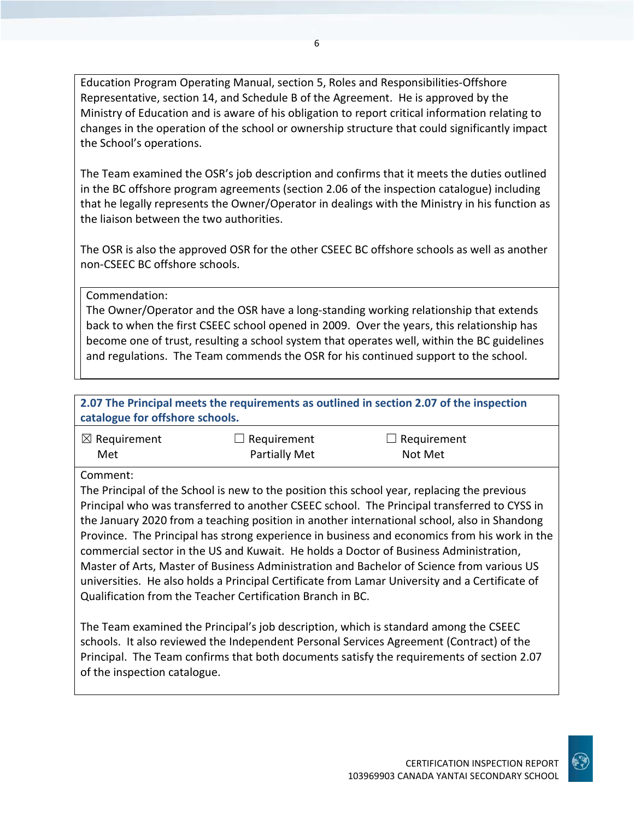Education Program Operating Manual, section 5, Roles and Responsibilities-Offshore Representative, section 14, and Schedule B of the Agreement. He is approved by the Ministry of Education and is aware of his obligation to report critical information relating to changes in the operation of the school or ownership structure that could significantly impact the School's operations.

The Team examined the OSR's job description and confirms that it meets the duties outlined in the BC offshore program agreements (section 2.06 of the inspection catalogue) including that he legally represents the Owner/Operator in dealings with the Ministry in his function as the liaison between the two authorities.

The OSR is also the approved OSR for the other CSEEC BC offshore schools as well as another non-CSEEC BC offshore schools.

Commendation:

The Owner/Operator and the OSR have a long-standing working relationship that extends back to when the first CSEEC school opened in 2009. Over the years, this relationship has become one of trust, resulting a school system that operates well, within the BC guidelines and regulations. The Team commends the OSR for his continued support to the school.

**2.07 The Principal meets the requirements as outlined in section 2.07 of the inspection catalogue for offshore schools.**

| $\boxtimes$ Requirement | $\Box$ Requirement   | $\Box$ Requirement |
|-------------------------|----------------------|--------------------|
| Met                     | <b>Partially Met</b> | Not Met            |

Comment:

The Principal of the School is new to the position this school year, replacing the previous Principal who was transferred to another CSEEC school. The Principal transferred to CYSS in the January 2020 from a teaching position in another international school, also in Shandong Province. The Principal has strong experience in business and economics from his work in the commercial sector in the US and Kuwait. He holds a Doctor of Business Administration, Master of Arts, Master of Business Administration and Bachelor of Science from various US universities. He also holds a Principal Certificate from Lamar University and a Certificate of Qualification from the Teacher Certification Branch in BC.

The Team examined the Principal's job description, which is standard among the CSEEC schools. It also reviewed the Independent Personal Services Agreement (Contract) of the Principal. The Team confirms that both documents satisfy the requirements of section 2.07 of the inspection catalogue.

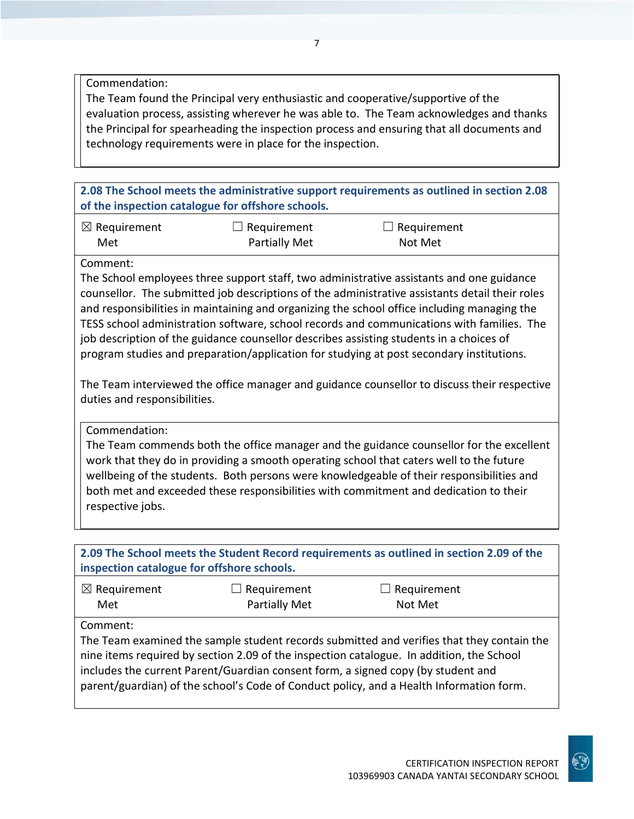Commendation:

The Team found the Principal very enthusiastic and cooperative/supportive of the evaluation process, assisting wherever he was able to. The Team acknowledges and thanks the Principal for spearheading the inspection process and ensuring that all documents and technology requirements were in place for the inspection.

**2.08 The School meets the administrative support requirements as outlined in section 2.08 of the inspection catalogue for offshore schools.**

| $\boxtimes$ Requirement | $\Box$ Requirement | $\Box$ Requirement |
|-------------------------|--------------------|--------------------|
| Met                     | Partially Met      | Not Met            |

Comment:

The School employees three support staff, two administrative assistants and one guidance counsellor. The submitted job descriptions of the administrative assistants detail their roles and responsibilities in maintaining and organizing the school office including managing the TESS school administration software, school records and communications with families. The job description of the guidance counsellor describes assisting students in a choices of program studies and preparation/application for studying at post secondary institutions.

The Team interviewed the office manager and guidance counsellor to discuss their respective duties and responsibilities.

Commendation:

The Team commends both the office manager and the guidance counsellor for the excellent work that they do in providing a smooth operating school that caters well to the future wellbeing of the students. Both persons were knowledgeable of their responsibilities and both met and exceeded these responsibilities with commitment and dedication to their respective jobs.

**2.09 The School meets the Student Record requirements as outlined in section 2.09 of the inspection catalogue for offshore schools.**

| $\boxtimes$ Requirement | $\Box$ Requirement   | $\Box$ Requirement |
|-------------------------|----------------------|--------------------|
| Met                     | <b>Partially Met</b> | Not Met            |

Comment:

The Team examined the sample student records submitted and verifies that they contain the nine items required by section 2.09 of the inspection catalogue. In addition, the School includes the current Parent/Guardian consent form, a signed copy (by student and parent/guardian) of the school's Code of Conduct policy, and a Health Information form.

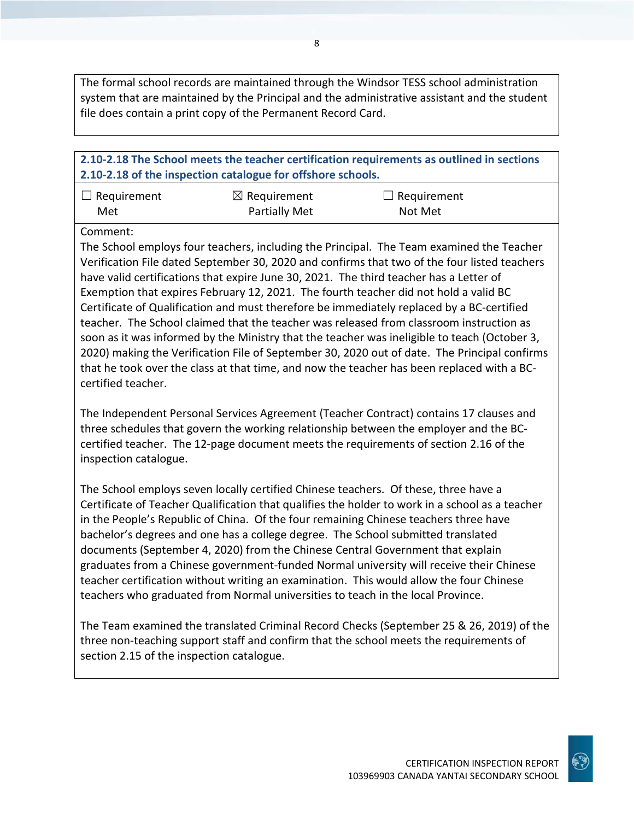The formal school records are maintained through the Windsor TESS school administration system that are maintained by the Principal and the administrative assistant and the student file does contain a print copy of the Permanent Record Card.

## **2.10-2.18 The School meets the teacher certification requirements as outlined in sections 2.10-2.18 of the inspection catalogue for offshore schools.**

| $\Box$ Requirement | $\boxtimes$ Requirement | $\Box$ Requirement |
|--------------------|-------------------------|--------------------|
| Met                | <b>Partially Met</b>    | Not Met            |

Comment:

The School employs four teachers, including the Principal. The Team examined the Teacher Verification File dated September 30, 2020 and confirms that two of the four listed teachers have valid certifications that expire June 30, 2021. The third teacher has a Letter of Exemption that expires February 12, 2021. The fourth teacher did not hold a valid BC Certificate of Qualification and must therefore be immediately replaced by a BC-certified teacher. The School claimed that the teacher was released from classroom instruction as soon as it was informed by the Ministry that the teacher was ineligible to teach (October 3, 2020) making the Verification File of September 30, 2020 out of date. The Principal confirms that he took over the class at that time, and now the teacher has been replaced with a BCcertified teacher.

The Independent Personal Services Agreement (Teacher Contract) contains 17 clauses and three schedules that govern the working relationship between the employer and the BCcertified teacher. The 12-page document meets the requirements of section 2.16 of the inspection catalogue.

The School employs seven locally certified Chinese teachers. Of these, three have a Certificate of Teacher Qualification that qualifies the holder to work in a school as a teacher in the People's Republic of China. Of the four remaining Chinese teachers three have bachelor's degrees and one has a college degree. The School submitted translated documents (September 4, 2020) from the Chinese Central Government that explain graduates from a Chinese government-funded Normal university will receive their Chinese teacher certification without writing an examination. This would allow the four Chinese teachers who graduated from Normal universities to teach in the local Province.

The Team examined the translated Criminal Record Checks (September 25 & 26, 2019) of the three non-teaching support staff and confirm that the school meets the requirements of section 2.15 of the inspection catalogue.

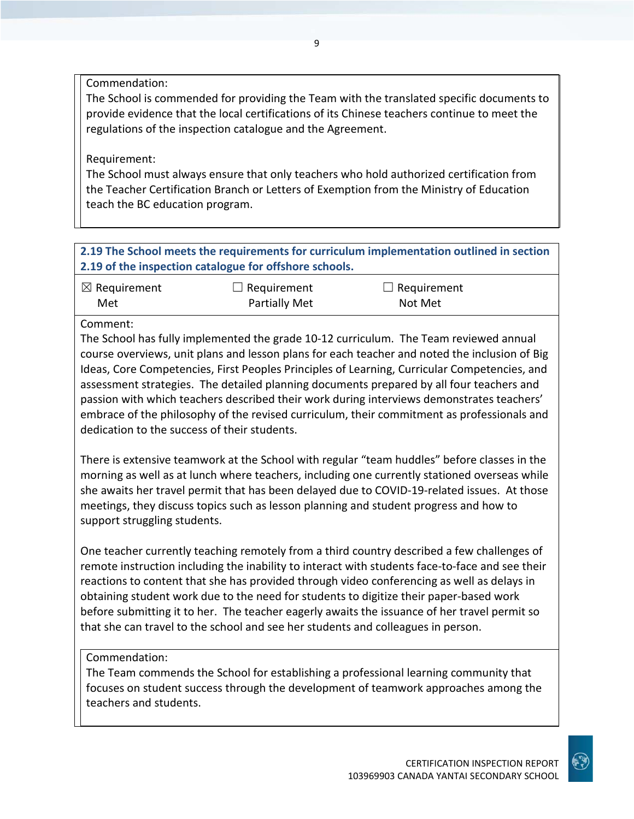Commendation:

The School is commended for providing the Team with the translated specific documents to provide evidence that the local certifications of its Chinese teachers continue to meet the regulations of the inspection catalogue and the Agreement.

## Requirement:

The School must always ensure that only teachers who hold authorized certification from the Teacher Certification Branch or Letters of Exemption from the Ministry of Education teach the BC education program.

**2.19 The School meets the requirements for curriculum implementation outlined in section 2.19 of the inspection catalogue for offshore schools.**

| $\boxtimes$ Requirement | $\Box$ Requirement   | $\Box$ Requirement |
|-------------------------|----------------------|--------------------|
| Met                     | <b>Partially Met</b> | Not Met            |

### Comment:

The School has fully implemented the grade 10-12 curriculum. The Team reviewed annual course overviews, unit plans and lesson plans for each teacher and noted the inclusion of Big Ideas, Core Competencies, First Peoples Principles of Learning, Curricular Competencies, and assessment strategies. The detailed planning documents prepared by all four teachers and passion with which teachers described their work during interviews demonstrates teachers' embrace of the philosophy of the revised curriculum, their commitment as professionals and dedication to the success of their students.

There is extensive teamwork at the School with regular "team huddles" before classes in the morning as well as at lunch where teachers, including one currently stationed overseas while she awaits her travel permit that has been delayed due to COVID-19-related issues. At those meetings, they discuss topics such as lesson planning and student progress and how to support struggling students.

One teacher currently teaching remotely from a third country described a few challenges of remote instruction including the inability to interact with students face-to-face and see their reactions to content that she has provided through video conferencing as well as delays in obtaining student work due to the need for students to digitize their paper-based work before submitting it to her. The teacher eagerly awaits the issuance of her travel permit so that she can travel to the school and see her students and colleagues in person.

## Commendation:

The Team commends the School for establishing a professional learning community that focuses on student success through the development of teamwork approaches among the teachers and students.

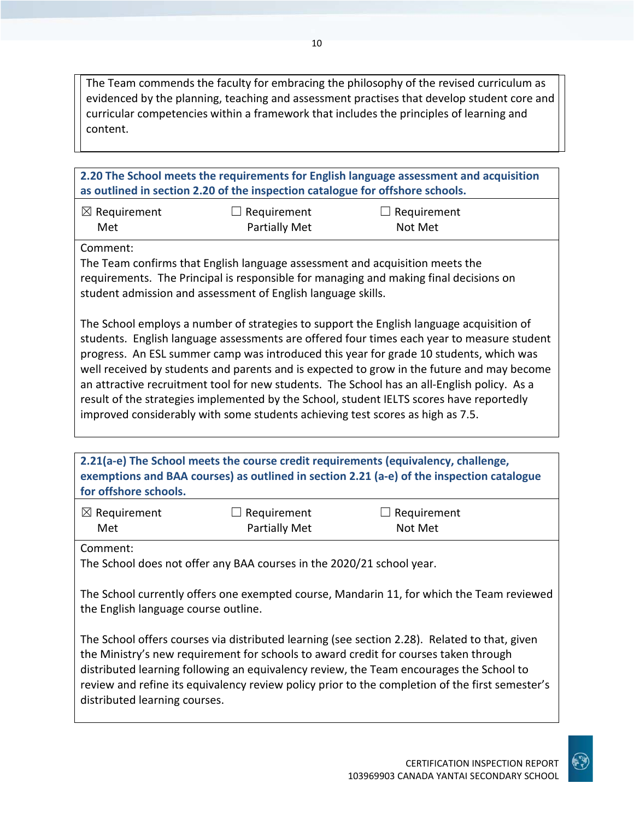The Team commends the faculty for embracing the philosophy of the revised curriculum as evidenced by the planning, teaching and assessment practises that develop student core and curricular competencies within a framework that includes the principles of learning and content.

**2.20 The School meets the requirements for English language assessment and acquisition as outlined in section 2.20 of the inspection catalogue for offshore schools.**

| $\boxtimes$ Requirement | $\Box$ Requirement   | $\Box$ Requirement |
|-------------------------|----------------------|--------------------|
| Met                     | <b>Partially Met</b> | Not Met            |

Comment:

The Team confirms that English language assessment and acquisition meets the requirements. The Principal is responsible for managing and making final decisions on student admission and assessment of English language skills.

The School employs a number of strategies to support the English language acquisition of students. English language assessments are offered four times each year to measure student progress. An ESL summer camp was introduced this year for grade 10 students, which was well received by students and parents and is expected to grow in the future and may become an attractive recruitment tool for new students. The School has an all-English policy. As a result of the strategies implemented by the School, student IELTS scores have reportedly improved considerably with some students achieving test scores as high as 7.5.

**2.21(a-e) The School meets the course credit requirements (equivalency, challenge, exemptions and BAA courses) as outlined in section 2.21 (a-e) of the inspection catalogue for offshore schools.**

| $\boxtimes$ Requirement | $\Box$ Requirement   | $\Box$ Requirement |
|-------------------------|----------------------|--------------------|
| Met                     | <b>Partially Met</b> | Not Met            |

Comment:

The School does not offer any BAA courses in the 2020/21 school year.

The School currently offers one exempted course, Mandarin 11, for which the Team reviewed the English language course outline.

The School offers courses via distributed learning (see section 2.28). Related to that, given the Ministry's new requirement for schools to award credit for courses taken through distributed learning following an equivalency review, the Team encourages the School to review and refine its equivalency review policy prior to the completion of the first semester's distributed learning courses.

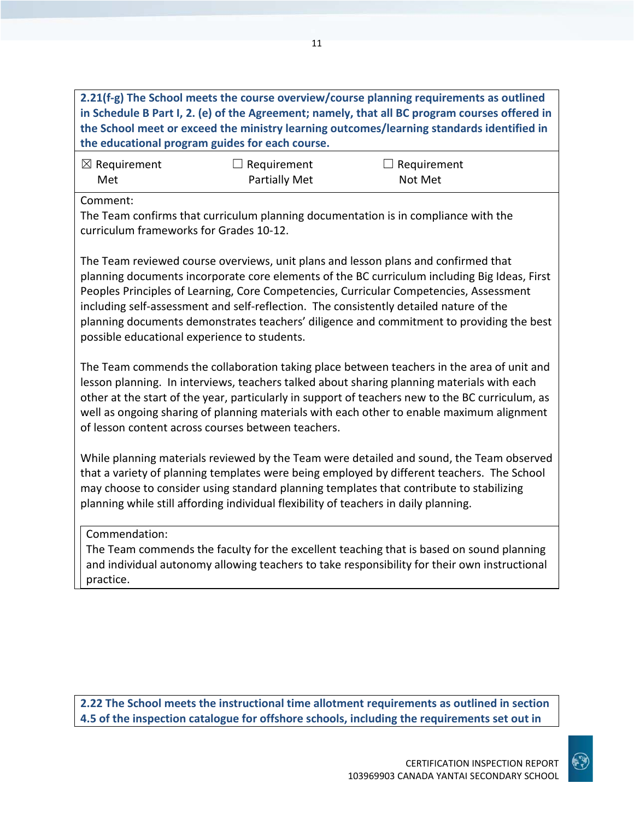## **2.21(f-g) The School meets the course overview/course planning requirements as outlined in Schedule B Part I, 2. (e) of the Agreement; namely, that all BC program courses offered in the School meet or exceed the ministry learning outcomes/learning standards identified in the educational program guides for each course.**

| $\boxtimes$ Requirement | $\Box$ Requirement | $\Box$ Requirement |
|-------------------------|--------------------|--------------------|
| Met                     | Partially Met      | Not Met            |

Comment:

The Team confirms that curriculum planning documentation is in compliance with the curriculum frameworks for Grades 10-12.

The Team reviewed course overviews, unit plans and lesson plans and confirmed that planning documents incorporate core elements of the BC curriculum including Big Ideas, First Peoples Principles of Learning, Core Competencies, Curricular Competencies, Assessment including self-assessment and self-reflection. The consistently detailed nature of the planning documents demonstrates teachers' diligence and commitment to providing the best possible educational experience to students.

The Team commends the collaboration taking place between teachers in the area of unit and lesson planning. In interviews, teachers talked about sharing planning materials with each other at the start of the year, particularly in support of teachers new to the BC curriculum, as well as ongoing sharing of planning materials with each other to enable maximum alignment of lesson content across courses between teachers.

While planning materials reviewed by the Team were detailed and sound, the Team observed that a variety of planning templates were being employed by different teachers. The School may choose to consider using standard planning templates that contribute to stabilizing planning while still affording individual flexibility of teachers in daily planning.

## Commendation:

The Team commends the faculty for the excellent teaching that is based on sound planning and individual autonomy allowing teachers to take responsibility for their own instructional practice.

**2.22 The School meets the instructional time allotment requirements as outlined in section 4.5 of the inspection catalogue for offshore schools, including the requirements set out in**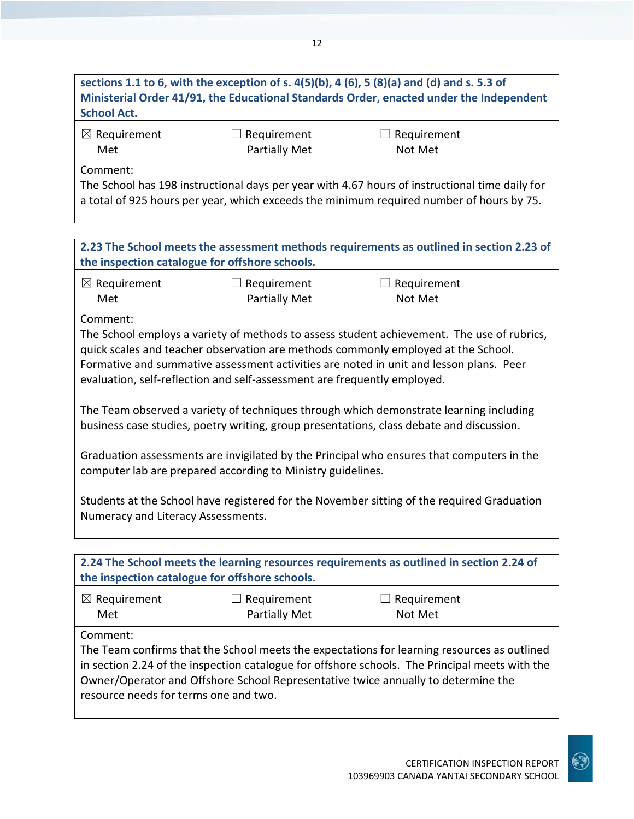## **sections 1.1 to 6, with the exception of s. 4(5)(b), 4 (6), 5 (8)(a) and (d) and s. 5.3 of Ministerial Order 41/91, the Educational Standards Order, enacted under the Independent School Act.**

| $\boxtimes$ Requirement | $\Box$ Requirement | $\Box$ Requirement |
|-------------------------|--------------------|--------------------|
| Met                     | Partially Met      | Not Met            |

Comment:

The School has 198 instructional days per year with 4.67 hours of instructional time daily for a total of 925 hours per year, which exceeds the minimum required number of hours by 75.

**2.23 The School meets the assessment methods requirements as outlined in section 2.23 of the inspection catalogue for offshore schools.**

| $\boxtimes$ Requirement | $\Box$ Requirement   | $\Box$ Requirement |
|-------------------------|----------------------|--------------------|
| Met                     | <b>Partially Met</b> | Not Met            |

Comment:

The School employs a variety of methods to assess student achievement. The use of rubrics, quick scales and teacher observation are methods commonly employed at the School. Formative and summative assessment activities are noted in unit and lesson plans. Peer evaluation, self-reflection and self-assessment are frequently employed.

The Team observed a variety of techniques through which demonstrate learning including business case studies, poetry writing, group presentations, class debate and discussion.

Graduation assessments are invigilated by the Principal who ensures that computers in the computer lab are prepared according to Ministry guidelines.

Students at the School have registered for the November sitting of the required Graduation Numeracy and Literacy Assessments.

| 2.24 The School meets the learning resources requirements as outlined in section 2.24 of<br>the inspection catalogue for offshore schools.                                                                                                                                                                                              |                                            |                               |  |
|-----------------------------------------------------------------------------------------------------------------------------------------------------------------------------------------------------------------------------------------------------------------------------------------------------------------------------------------|--------------------------------------------|-------------------------------|--|
| $\boxtimes$ Requirement<br>Met                                                                                                                                                                                                                                                                                                          | $\Box$ Requirement<br><b>Partially Met</b> | $\Box$ Requirement<br>Not Met |  |
| Comment:<br>The Team confirms that the School meets the expectations for learning resources as outlined<br>in section 2.24 of the inspection catalogue for offshore schools. The Principal meets with the<br>Owner/Operator and Offshore School Representative twice annually to determine the<br>resource needs for terms one and two. |                                            |                               |  |

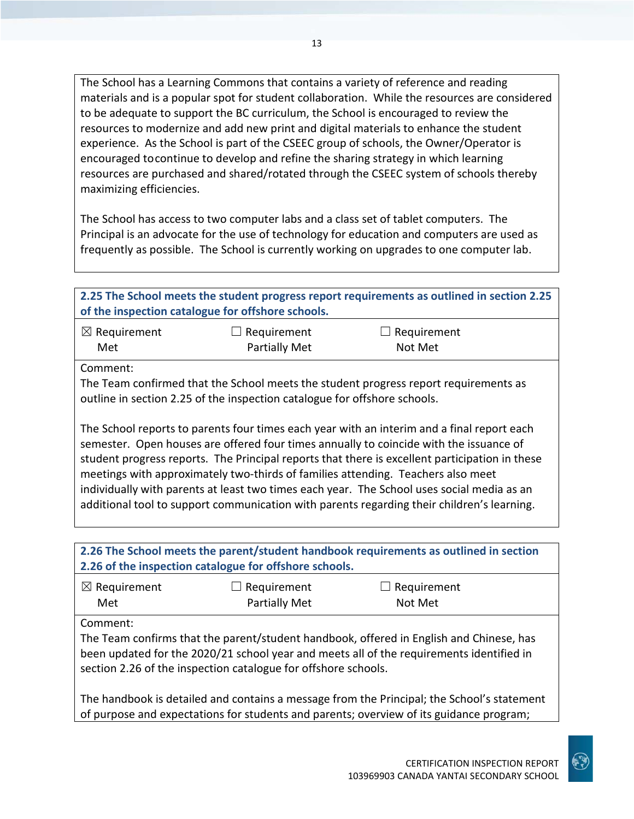The School has a Learning Commons that contains a variety of reference and reading materials and is a popular spot for student collaboration. While the resources are considered to be adequate to support the BC curriculum, the School is encouraged to review the resources to modernize and add new print and digital materials to enhance the student experience. As the School is part of the CSEEC group of schools, the Owner/Operator is encouraged tocontinue to develop and refine the sharing strategy in which learning resources are purchased and shared/rotated through the CSEEC system of schools thereby maximizing efficiencies.

The School has access to two computer labs and a class set of tablet computers. The Principal is an advocate for the use of technology for education and computers are used as frequently as possible. The School is currently working on upgrades to one computer lab.

| 2.25 The School meets the student progress report requirements as outlined in section 2.25<br>of the inspection catalogue for offshore schools.                                                                                                                                                                                                                                                                                                                                                                                                                        |                      |             |  |
|------------------------------------------------------------------------------------------------------------------------------------------------------------------------------------------------------------------------------------------------------------------------------------------------------------------------------------------------------------------------------------------------------------------------------------------------------------------------------------------------------------------------------------------------------------------------|----------------------|-------------|--|
| $\boxtimes$ Requirement                                                                                                                                                                                                                                                                                                                                                                                                                                                                                                                                                | $\Box$ Requirement   | Requirement |  |
| Met                                                                                                                                                                                                                                                                                                                                                                                                                                                                                                                                                                    | <b>Partially Met</b> | Not Met     |  |
| Comment:                                                                                                                                                                                                                                                                                                                                                                                                                                                                                                                                                               |                      |             |  |
| The Team confirmed that the School meets the student progress report requirements as<br>outline in section 2.25 of the inspection catalogue for offshore schools.                                                                                                                                                                                                                                                                                                                                                                                                      |                      |             |  |
| The School reports to parents four times each year with an interim and a final report each<br>semester. Open houses are offered four times annually to coincide with the issuance of<br>student progress reports. The Principal reports that there is excellent participation in these<br>meetings with approximately two-thirds of families attending. Teachers also meet<br>individually with parents at least two times each year. The School uses social media as an<br>additional tool to support communication with parents regarding their children's learning. |                      |             |  |
|                                                                                                                                                                                                                                                                                                                                                                                                                                                                                                                                                                        |                      |             |  |
| 2.26 The School meets the parent/student handbook requirements as outlined in section<br>2.26 of the inspection catalogue for offshore schools.                                                                                                                                                                                                                                                                                                                                                                                                                        |                      |             |  |
|                                                                                                                                                                                                                                                                                                                                                                                                                                                                                                                                                                        |                      |             |  |
| $\boxtimes$ Requirement                                                                                                                                                                                                                                                                                                                                                                                                                                                                                                                                                | Requirement          | Requirement |  |
| Met                                                                                                                                                                                                                                                                                                                                                                                                                                                                                                                                                                    | <b>Partially Met</b> | Not Met     |  |

Comment:

The Team confirms that the parent/student handbook, offered in English and Chinese, has been updated for the 2020/21 school year and meets all of the requirements identified in section 2.26 of the inspection catalogue for offshore schools.

The handbook is detailed and contains a message from the Principal; the School's statement of purpose and expectations for students and parents; overview of its guidance program;

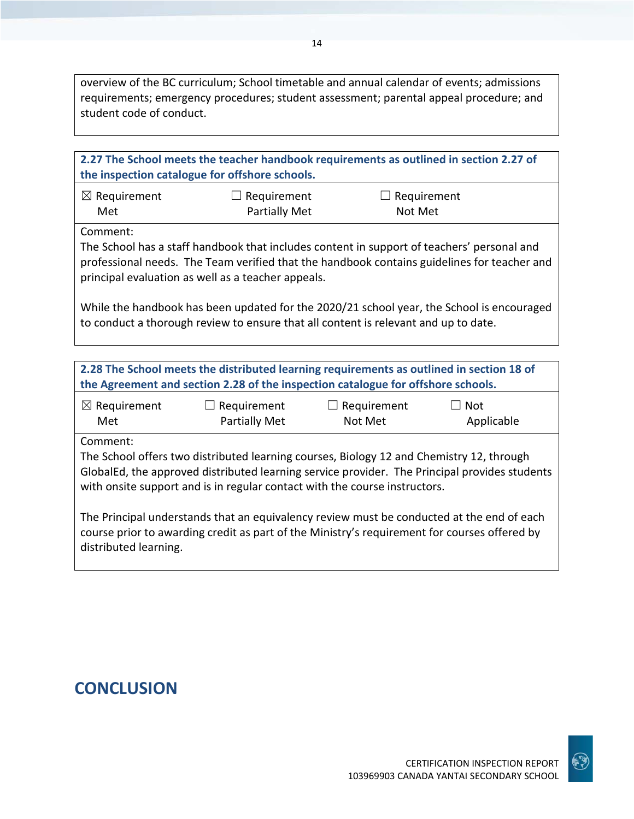overview of the BC curriculum; School timetable and annual calendar of events; admissions requirements; emergency procedures; student assessment; parental appeal procedure; and student code of conduct.

| 2.27 The School meets the teacher handbook requirements as outlined in section 2.27 of<br>the inspection catalogue for offshore schools.                                                                                                                                            |                                                                                          |                               |                          |
|-------------------------------------------------------------------------------------------------------------------------------------------------------------------------------------------------------------------------------------------------------------------------------------|------------------------------------------------------------------------------------------|-------------------------------|--------------------------|
| $\boxtimes$ Requirement<br>Met                                                                                                                                                                                                                                                      | $\Box$ Requirement<br>Partially Met                                                      | $\Box$ Requirement<br>Not Met |                          |
| Comment:<br>The School has a staff handbook that includes content in support of teachers' personal and<br>professional needs. The Team verified that the handbook contains guidelines for teacher and<br>principal evaluation as well as a teacher appeals.                         |                                                                                          |                               |                          |
| While the handbook has been updated for the 2020/21 school year, the School is encouraged<br>to conduct a thorough review to ensure that all content is relevant and up to date.                                                                                                    |                                                                                          |                               |                          |
|                                                                                                                                                                                                                                                                                     | 2.28 The School meets the distributed learning requirements as outlined in section 18 of |                               |                          |
| the Agreement and section 2.28 of the inspection catalogue for offshore schools.                                                                                                                                                                                                    |                                                                                          |                               |                          |
| $\boxtimes$ Requirement<br>Met                                                                                                                                                                                                                                                      | $\Box$ Requirement<br>Partially Met                                                      | $\Box$ Requirement<br>Not Met | $\Box$ Not<br>Applicable |
| Comment:<br>The School offers two distributed learning courses, Biology 12 and Chemistry 12, through<br>GlobalEd, the approved distributed learning service provider. The Principal provides students<br>with onsite support and is in regular contact with the course instructors. |                                                                                          |                               |                          |
| The Principal understands that an equivalency review must be conducted at the end of each<br>course prior to awarding credit as part of the Ministry's requirement for courses offered by<br>distributed learning.                                                                  |                                                                                          |                               |                          |

## **CONCLUSION**